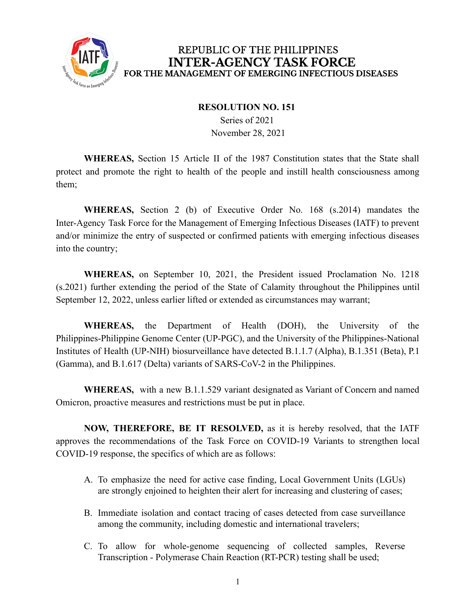

## REPUBLIC OF THE PHILIPPINES **INTER-AGENCY TASK FORCE** FOR THE MANAGEMENT OF EMERGING INFECTIOUS DISEASES

## **RESOLUTION NO. 151**

Series of 2021 November 28, 2021

**WHEREAS,** Section 15 Article II of the 1987 Constitution states that the State shall protect and promote the right to health of the people and instill health consciousness among them;

**WHEREAS,** Section 2 (b) of Executive Order No. 168 (s.2014) mandates the Inter-Agency Task Force for the Management of Emerging Infectious Diseases (IATF) to prevent and/or minimize the entry of suspected or confirmed patients with emerging infectious diseases into the country;

**WHEREAS,** on September 10, 2021, the President issued Proclamation No. 1218 (s.2021) further extending the period of the State of Calamity throughout the Philippines until September 12, 2022, unless earlier lifted or extended as circumstances may warrant;

**WHEREAS,** the Department of Health (DOH), the University of the Philippines-Philippine Genome Center (UP-PGC), and the University of the Philippines-National Institutes of Health (UP-NIH) biosurveillance have detected B.1.1.7 (Alpha), B.1.351 (Beta), P.1 (Gamma), and B.1.617 (Delta) variants of SARS-CoV-2 in the Philippines.

**WHEREAS,** with a new B.1.1.529 variant designated as Variant of Concern and named Omicron, proactive measures and restrictions must be put in place.

**NOW, THEREFORE, BE IT RESOLVED,** as it is hereby resolved, that the IATF approves the recommendations of the Task Force on COVID-19 Variants to strengthen local COVID-19 response, the specifics of which are as follows:

- A. To emphasize the need for active case finding, Local Government Units (LGUs) are strongly enjoined to heighten their alert for increasing and clustering of cases;
- B. Immediate isolation and contact tracing of cases detected from case surveillance among the community, including domestic and international travelers;
- C. To allow for whole-genome sequencing of collected samples, Reverse Transcription - Polymerase Chain Reaction (RT-PCR) testing shall be used;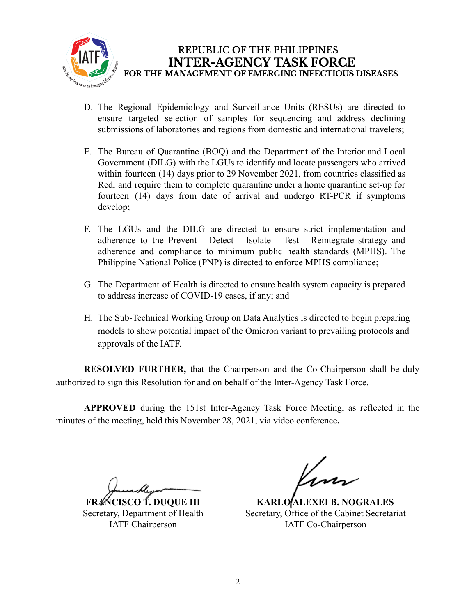

## REPUBLIC OF THE PHILIPPINES **INTER-AGENCY TASK FORCE** FOR THE MANAGEMENT OF EMERGING INFECTIOUS DISEASES

- D. The Regional Epidemiology and Surveillance Units (RESUs) are directed to ensure targeted selection of samples for sequencing and address declining submissions of laboratories and regions from domestic and international travelers;
- E. The Bureau of Quarantine (BOQ) and the Department of the Interior and Local Government (DILG) with the LGUs to identify and locate passengers who arrived within fourteen (14) days prior to 29 November 2021, from countries classified as Red, and require them to complete quarantine under a home quarantine set-up for fourteen (14) days from date of arrival and undergo RT-PCR if symptoms develop;
- F. The LGUs and the DILG are directed to ensure strict implementation and adherence to the Prevent - Detect - Isolate - Test - Reintegrate strategy and adherence and compliance to minimum public health standards (MPHS). The Philippine National Police (PNP) is directed to enforce MPHS compliance;
- G. The Department of Health is directed to ensure health system capacity is prepared to address increase of COVID-19 cases, if any; and
- H. The Sub-Technical Working Group on Data Analytics is directed to begin preparing models to show potential impact of the Omicron variant to prevailing protocols and approvals of the IATF.

**RESOLVED FURTHER,** that the Chairperson and the Co-Chairperson shall be duly authorized to sign this Resolution for and on behalf of the Inter-Agency Task Force.

**APPROVED** during the 151st Inter-Agency Task Force Meeting, as reflected in the minutes of the meeting, held this November 28, 2021, via video conference**.**

**FRANCISCO T. DUQUE III** Secretary, Department of Health IATF Chairperson

Kun

**KARLO ALEXEI B. NOGRALES** Secretary, Office of the Cabinet Secretariat IATF Co-Chairperson